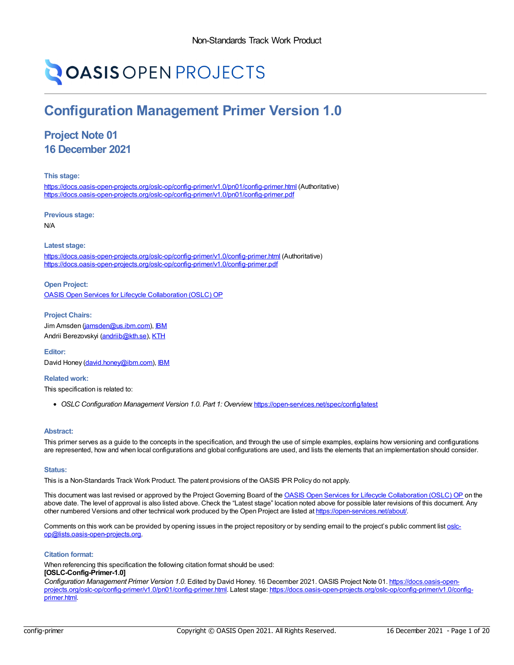# **OASIS OPEN PROJECTS**

## **Configuration Management Primer Version 1.0**

### **Project Note 01 16 December 2021**

**This stage:**

<https://docs.oasis-open-projects.org/oslc-op/config-primer/v1.0/pn01/config-primer.html> (Authoritative) <https://docs.oasis-open-projects.org/oslc-op/config-primer/v1.0/pn01/config-primer.pdf>

**Previous stage:**

N/A

#### **Latest stage:**

<https://docs.oasis-open-projects.org/oslc-op/config-primer/v1.0/config-primer.html> (Authoritative) <https://docs.oasis-open-projects.org/oslc-op/config-primer/v1.0/config-primer.pdf>

**Open Project:** OASIS Open Services for Lifecycle [Collaboration](https://open-services.net/about/) (OSLC) OP

**Project Chairs:** Jim Amsden [\(jamsden@us.ibm.com](mailto:jamsden@us.ibm.com)), [IBM](https://www.ibm.com/) Andrii Berezovskyi [\(andriib@kth.se](mailto:andriib@kth.se)), [KTH](https://www.kth.se/en)

**Editor:** David Honey [\(david.honey@ibm.com](mailto:david.honey@ibm.com)), **[IBM](https://www.ibm.com/)** 

**Related work:**

This specification is related to:

*OSLC Configuration Management Version 1.0. Part 1: Overview*. <https://open-services.net/spec/config/latest>

#### **Abstract:**

This primer serves as a guide to the concepts in the specification, and through the use of simple examples, explains how versioning and configurations are represented, how and when local configurations and global configurations are used, and lists the elements that an implementation should consider.

#### **Status:**

This is a Non-Standards Track Work Product. The patent provisions of the OASIS IPR Policy do not apply.

This document was last revised or approved by the Project Governing Board of the **OASIS Open Services for Lifecycle [Collaboration](https://open-services.net/about/) (OSLC) OP** on the above date. The level of approval is also listed above. Check the "Latest stage" location noted above for possible later revisions of this document. Any other numbered Versions and other technical work produced by the Open Project are listed at <https://open-services.net/about/>.

Comments on this work can be provided by opening issues in the project repository or by sending email to the project's public comment list oslc[op@lists.oasis-open-projects.org.](mailto:oslc-op@lists.oasis-open-projects.org)

#### **Citation format:**

When referencing this specification the following citation format should be used: **[OSLC-Config-Primer-1.0]**

*Configuration Management Primer Version 1.0*. Edited by David Honey. 16 December 2021. OASIS Project Note 01. https://docs.oasis-openprojects.org/oslc-op/config-primer/v1.0/pn01/config-primer.html. Latest stage: [https://docs.oasis-open-projects.org/oslc-op/config-primer/v1.0/config](https://docs.oasis-open-projects.org/oslc-op/config-primer/v1.0/config-primer.html)primer.html.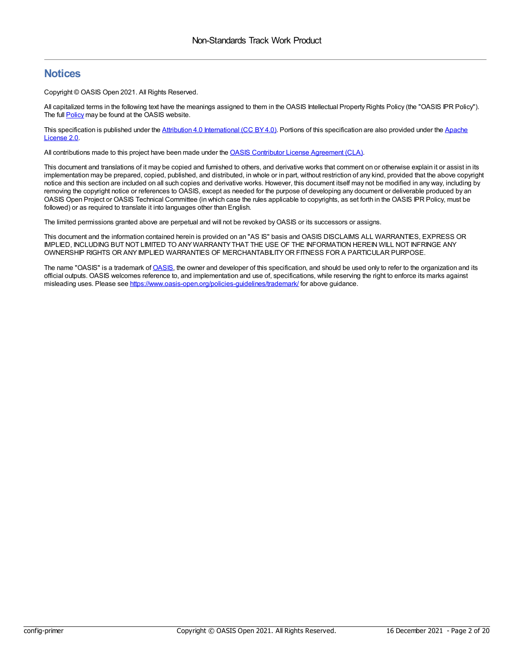### **Notices**

Copyright © OASIS Open 2021. All Rights Reserved.

All capitalized terms in the following text have the meanings assigned to them in the OASIS Intellectual Property Rights Policy (the "OASIS IPR Policy"). The full **[Policy](https://www.oasis-open.org/policies-guidelines/ipr/)** may be found at the OASIS website.

This specification is published under the Attribution 4.0 [International](https://creativecommons.org/licenses/by/4.0/legalcode) (CC BY 4.0). Portions of this [specification](https://www.apache.org/licenses/LICENSE-2.0) are also provided under the Apache License 2.0.

All contributions made to this project have been made under the OASIS Contributor License [Agreement](https://www.oasis-open.org/policies-guidelines/open-projects-process/#individual-cla-exhibit) (CLA).

This document and translations of it may be copied and furnished to others, and derivative works that comment on or otherwise explain it or assist in its implementation may be prepared, copied, published, and distributed, in whole or in part, without restriction of any kind, provided that the above copyright notice and this section are included on all such copies and derivative works. However, this document itself may not be modified in any way, including by removing the copyright notice or references to OASIS, except as needed for the purpose of developing any document or deliverable produced by an OASIS Open Project or OASIS Technical Committee (in which case the rules applicable to copyrights, as set forth in the OASIS IPR Policy, must be followed) or as required to translate it into languages other than English.

The limited permissions granted above are perpetual and will not be revoked byOASIS or its successors or assigns.

This document and the information contained herein is provided on an "AS IS" basis and OASIS DISCLAIMS ALL WARRANTIES, EXPRESS OR IMPLIED, INCLUDING BUT NOT LIMITED TO ANYWARRANTYTHAT THE USE OF THE INFORMATION HEREIN WILL NOT INFRINGE ANY OWNERSHIP RIGHTS OR ANYIMPLIED WARRANTIES OF MERCHANTABILITYOR FITNESS FOR A PARTICULAR PURPOSE.

The name "[OASIS](https://www.oasis-open.org/)" is a trademark of OASIS, the owner and developer of this specification, and should be used only to refer to the organization and its official outputs. OASIS welcomes reference to, and implementation and use of, specifications, while reserving the right to enforce its marks against misleading uses. Please see <https://www.oasis-open.org/policies-guidelines/trademark/> for above guidance.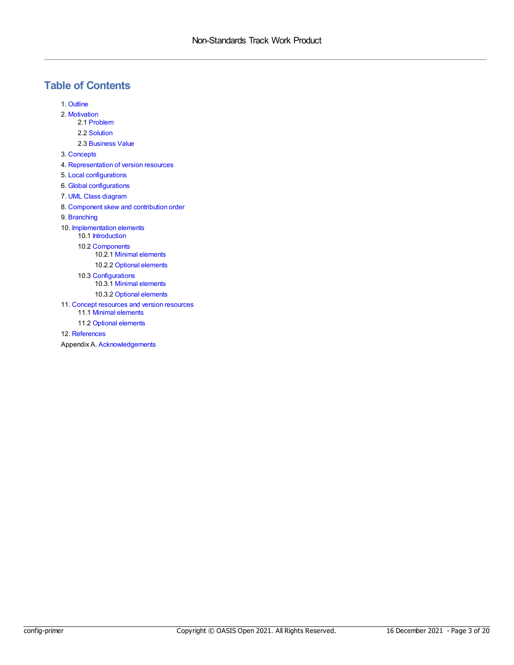### **Table of Contents**

- 1. [Outline](#page-3-0)
- 2. [Motivation](#page-4-0)
	- 2.1 [Problem](#page-4-1)
	- 2.2 [Solution](#page-4-2)
	- 2.3 [Business](#page-4-3) Value
- 3. [Concepts](#page-6-0)
- 4. [Representation](#page-7-0) of version resources
- 5. Local [configurations](#page-9-0)
- 6. Global [configurations](#page-10-0)
- 7. UML Class [diagram](#page-12-0)
- 8. [Component](#page-13-0) skew and contribution order
- 9. [Branching](#page-14-0)
- 10. [Implementation](#page-15-0) elements
	- 10.1 [Introduction](#page-15-1)
	- 10.2 [Components](#page-15-2)
		- 10.2.1 Minimal [elements](#page-15-3)
		- 10.2.2 Optional [elements](#page-15-4)
	- 10.3 [Configurations](#page-15-5) 10.3.1 Minimal [elements](#page-15-6)
		- 10.3.2 Optional [elements](#page-16-0)
- 11. Concept [resources](#page-17-0) and version resources
	- 11.1 Minimal [elements](#page-17-1)
- 11.2 Optional [elements](#page-17-2) 12. [References](#page-18-0)
- Appendix A. [Acknowledgements](#page-19-0)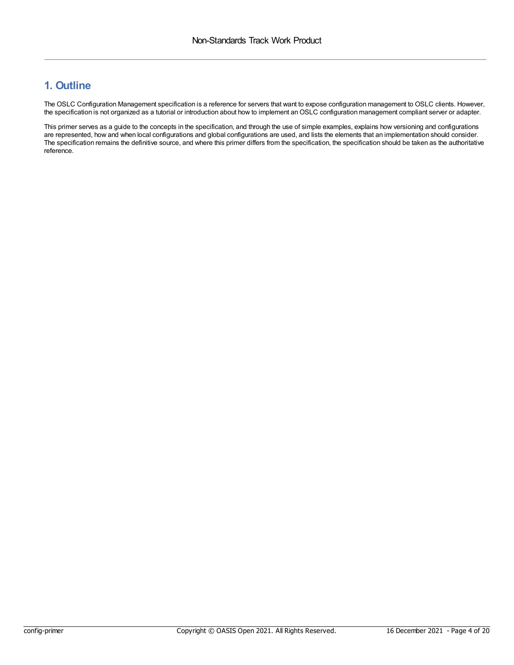### <span id="page-3-0"></span>**1. Outline**

The OSLC Configuration Management specification is a reference for servers that want to expose configuration management to OSLC clients. However, the specification is not organized as a tutorial or introduction about how to implement anOSLC configuration management compliant server or adapter.

This primer serves as a guide to the concepts in the specification, and through the use of simple examples, explains how versioning and configurations are represented, how and when local configurations and global configurations are used, and lists the elements that an implementation should consider. The specification remains the definitive source, and where this primer differs from the specification, the specification should be taken as the authoritative reference.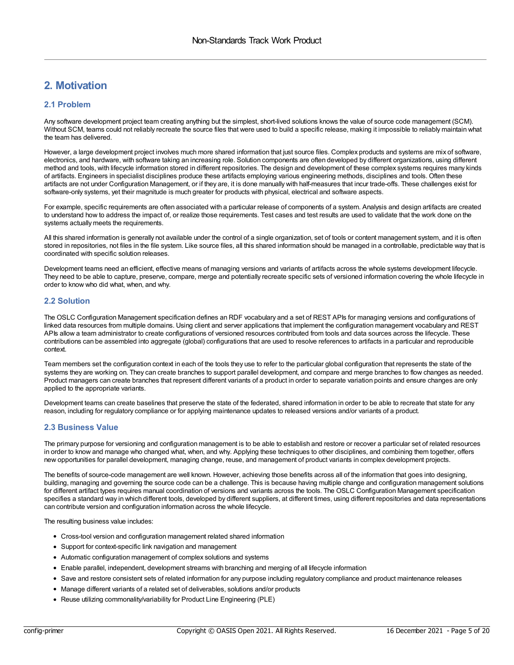### <span id="page-4-0"></span>**2. Motivation**

### <span id="page-4-1"></span>**2.1 Problem**

Any software development project team creating anything but the simplest, short-lived solutions knows the value of source code management (SCM). Without SCM, teams could not reliably recreate the source files that were used to build a specific release, making it impossible to reliably maintain what the team has delivered.

However, a large development project involves much more shared information that just source files. Complex products and systems are mix of software, electronics, and hardware, with software taking an increasing role. Solution components are often developed by different organizations, using different method and tools, with lifecycle information stored in different repositories. The design and development of these complex systems requires many kinds of artifacts. Engineers in specialist disciplines produce these artifacts employing various engineering methods, disciplines and tools. Often these artifacts are not under Configuration Management, or if they are, it is done manually with half-measures that incur trade-offs. These challenges exist for software-only systems, yet their magnitude is much greater for products with physical, electrical and software aspects.

For example, specific requirements are often associated with a particular release of components of a system. Analysis and design artifacts are created to understand how to address the impact of, or realize those requirements. Test cases and test results are used to validate that the work done on the systems actually meets the requirements.

All this shared information is generally not available under the control of a single organization, set of tools or content management system, and it is often stored in repositories, not files in the file system. Like source files, all this shared information should be managed in a controllable, predictable way that is coordinated with specific solution releases.

Development teams need an efficient, effective means of managing versions and variants of artifacts across the whole systems development lifecycle. They need to be able to capture, preserve, compare, merge and potentially recreate specific sets of versioned information covering the whole lifecycle in order to know who did what, when, and why.

### <span id="page-4-2"></span>**2.2 Solution**

The OSLC Configuration Management specification defines an RDF vocabulary and a set of REST APIs for managing versions and configurations of linked data resources from multiple domains. Using client and server applications that implement the configuration management vocabulary and REST APIs allow a team administrator to create configurations of versioned resources contributed from tools and data sources across the lifecycle. These contributions can be assembled into aggregate (global) configurations that are used to resolve references to artifacts in a particular and reproducible context.

Team members set the configuration context in each of the tools they use to refer to the particular global configuration that represents the state of the systems they are working on. They can create branches to support parallel development, and compare and merge branches to flow changes as needed. Product managers can create branches that represent different variants of a product in order to separate variation points and ensure changes are only applied to the appropriate variants.

Development teams can create baselines that preserve the state of the federated, shared information in order to be able to recreate that state for any reason, including for regulatory compliance or for applying maintenance updates to released versions and/or variants of a product.

### <span id="page-4-3"></span>**2.3 Business Value**

The primary purpose for versioning and configuration management is to be able to establish and restore or recover a particular set of related resources in order to know and manage who changed what, when, and why. Applying these techniques to other disciplines, and combining them together, offers new opportunities for parallel development, managing change, reuse, and management of product variants in complex development projects.

The benefits of source-code management are well known. However, achieving those benefits across all of the information that goes into designing, building, managing and governing the source code can be a challenge. This is because having multiple change and configuration management solutions for different artifact types requires manual coordination of versions and variants across the tools. The OSLC Configuration Management specification specifies a standard way in which different tools, developed by different suppliers, at different times, using different repositories and data representations can contribute version and configuration information across the whole lifecycle.

The resulting business value includes:

- Cross-tool version and configuration management related shared information
- Support for context-specific link navigation and management
- Automatic configuration management of complex solutions and systems
- Enable parallel, independent, development streams with branching and merging of all lifecycle information
- Save and restore consistent sets of related information for any purpose including regulatory compliance and product maintenance releases
- Manage different variants of a related set of deliverables, solutions and/or products
- Reuse utilizing commonality/variability for Product Line Engineering (PLE)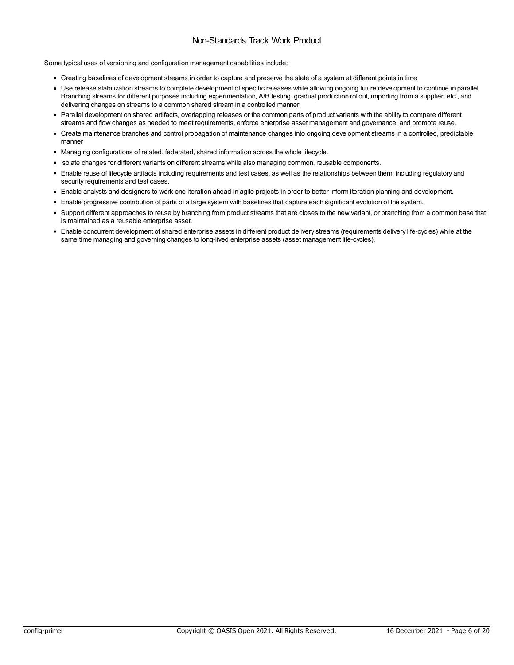### Non-Standards Track Work Product

Some typical uses of versioning and configuration management capabilities include:

- Creating baselines of development streams in order to capture and preserve the state of a system at different points in time
- Use release stabilization streams to complete development of specific releases while allowing ongoing future development to continue in parallel Branching streams for different purposes including experimentation, A/B testing, gradual production rollout, importing from a supplier, etc., and delivering changes on streams to a common shared stream in a controlled manner.
- Parallel development on shared artifacts, overlapping releases or the common parts of product variants with the ability to compare different streams and flow changes as needed to meet requirements, enforce enterprise asset management and governance, and promote reuse.
- Create maintenance branches and control propagation of maintenance changes into ongoing development streams in a controlled, predictable manner
- Managing configurations of related, federated, shared information across the whole lifecycle.
- Isolate changes for different variants on different streams while also managing common, reusable components.
- Enable reuse of lifecycle artifacts including requirements and test cases, as well as the relationships between them, including regulatory and security requirements and test cases.
- Enable analysts and designers to work one iteration ahead in agile projects in order to better inform iteration planning and development.
- Enable progressive contribution of parts of a large system with baselines that capture each significant evolution of the system.
- Support different approaches to reuse by branching from product streams that are closes to the new variant, or branching from a common base that is maintained as a reusable enterprise asset.
- Enable concurrent development of shared enterprise assets in different product delivery streams (requirements delivery life-cycles) while at the same time managing and governing changes to long-lived enterprise assets (asset management life-cycles).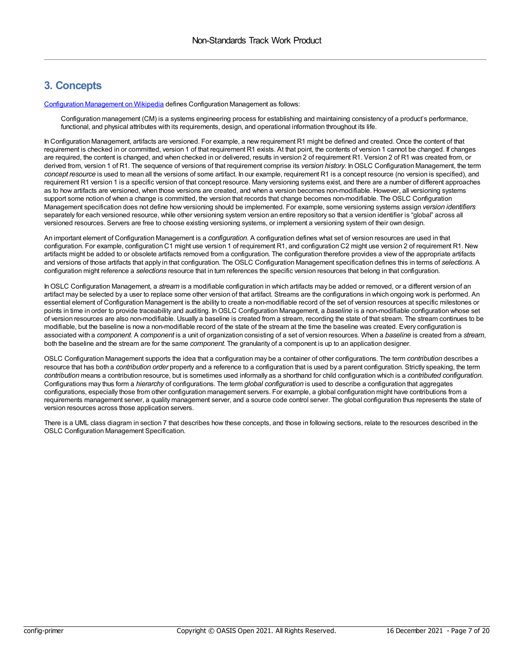### <span id="page-6-0"></span>**3. Concepts**

[Configuration](https://en.wikipedia.org/wiki/Configuration_management) Management on Wikipedia defines Configuration Management as follows:

Configuration management (CM) is a systems engineering process for establishing and maintaining consistency of a product's performance, functional, and physical attributes with its requirements, design, and operational information throughout its life.

In Configuration Management, artifacts are versioned. For example, a new requirement R1 might be defined and created. Once the content of that requirement is checked in or committed, version 1 of that requirement R1 exists. At that point, the contents of version 1 cannot be changed. If changes are required, the content is changed, and when checked in or delivered, results in version 2 of requirement R1. Version 2 of R1 was created from, or derived from, version 1 of R1. The sequence of versions of that requirement comprise its *version history*. InOSLC Configuration Management, the term *concept resource* is used to mean all the versions of some artifact. In our example, requirement R1 is a concept resource (no version is specified), and requirement R1 version 1 is a specific version of that concept resource. Many versioning systems exist, and there are a number of different approaches as to how artifacts are versioned, when those versions are created, and when a version becomes non-modifiable. However, all versioning systems support some notion of when a change is committed, the version that records that change becomes non-modifiable. The OSLC Configuration Management specification does not define how versioning should be implemented. For example, some versioning systems assign *version identifiers* separately for each versioned resource, while other versioning system version an entire repository so that a version identifier is "global" across all versioned resources. Servers are free to choose existing versioning systems, or implement a versioning system of their own design.

An important element of Configuration Management is a *configuration*. A configuration defines what set of version resources are used in that configuration. For example, configuration C1 might use version 1 of requirement R1, and configuration C2 might use version 2 of requirement R1. New artifacts might be added to or obsolete artifacts removed from a configuration. The configuration therefore provides a view of the appropriate artifacts and versions of those artifacts that apply in that configuration. The OSLC Configuration Management specification defines this in terms of *selections*. A configuration might reference a *selections* resource that in turn references the specific version resources that belong in that configuration.

InOSLC Configuration Management, a *stream* is a modifiable configuration in which artifacts may be added or removed, or a different version of an artifact may be selected by a user to replace some other version of that artifact. Streams are the configurations in which ongoing work is performed. An essential element of Configuration Management is the ability to create a non-modifiable record of the set of version resources at specific milestones or points in time in order to provide traceability and auditing. InOSLC Configuration Management, a *baseline* is a non-modifiable configuration whose set of version resources are also non-modifiable. Usually a baseline is created from a stream, recording the state of that stream. The stream continues to be modifiable, but the baseline is now a non-modifiable record of the state of the stream at the time the baseline was created. Every configuration is associated with a *component*. A *component* is a unit of organization consisting of a set of version resources. When a *baseline* is created from a *stream*, both the baseline and the stream are for the same *component*. The granularity of a component is up to an application designer.

OSLC Configuration Management supports the idea that a configuration may be a container of other configurations. The term *contribution* describes a resource that has both a *contribution order* property and a reference to a configuration that is used by a parent configuration. Strictly speaking, the term *contribution* means a contribution resource, but is sometimes used informally as a shorthand for child configuration which is a *contributed configuration*. Configurations may thus form a *hierarchy* of configurations. The term *global configuration* is used to describe a configuration that aggregates configurations, especially those from other configuration management servers. For example, a global configuration might have contributions from a requirements management server, a quality management server, and a source code control server. The global configuration thus represents the state of version resources across those application servers.

There is a UML class diagram in section 7 that describes how these concepts, and those in following sections, relate to the resources described in the OSLC Configuration Management Specification.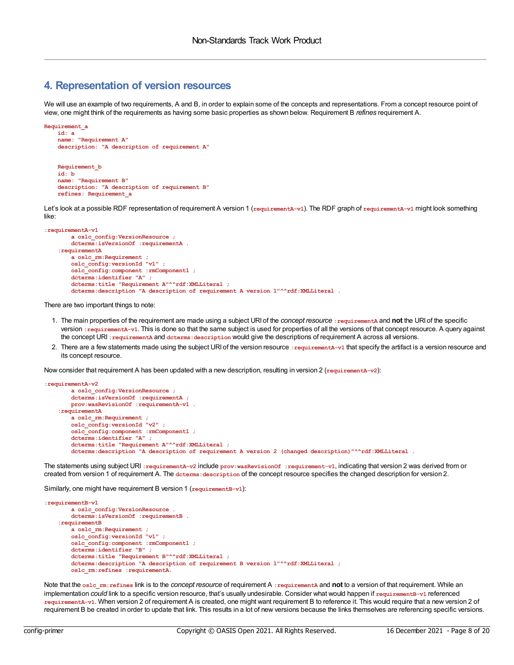### <span id="page-7-0"></span>**4. Representation of version resources**

We will use an example of two requirements, A and B, in order to explain some of the concepts and representations. From a concept resource point of view, one might think of the requirements as having some basic properties as shown below. Requirement B *refines* requirement A.

```
Requirement_a
   id: a
   name: "Requirement A"
   description: "A description of requirement A"
   Requirement_b
   id: b
   name: "Requirement B"
```
**description: "A description of requirement B"**

Let's look at a possible RDF representation of requirement A version 1 (**requirementA-v1**). The RDF graph of **requirementA-v1** might look something like:

```
:requirementA-v1
       a oslc_config:VersionResource ;
       dcterms:isVersionOf :requirementA .
   :requirementA
       a oslc_rm:Requirement ;
       oslc_config:versionId "v1" ;
       oslc_config:component :rmComponent1 ;
       dcterms:identifier "A" ;
       dcterms:title "Requirement A"^^rdf:XMLLiteral ;
       dcterms:description "A description of requirement A version 1"^^rdf:XMLLiteral .
```
There are two important things to note:

**refines: Requirement\_a**

- 1. The main properties of the requirement are made using a subject URI of the *concept resource* **:requirementA** and **not** the URI of the specific version **:requirementA-v1**. This is done so that the same subject is used for properties of all the versions of that concept resource. A query against the concept URI **:requirementA** and **dcterms:description** would give the descriptions of requirement A across all versions.
- 2. There are a few statements made using the subject URI of the version resource : requirement a-v1 that specify the artifact is a version resource and its concept resource.

Now consider that requirement A has been updated with a new description, resulting in version 2 (**requirementA-v2**):

```
:requirementA-v2
       a oslc_config:VersionResource ;
       dcterms:isVersionOf :requirementA ;
       prov:wasRevisionOf :requirementA-v1 .
    :requirementA
       a oslc_rm:Requirement ;
       oslc_config:versionId "v2" ;
       oslc_config:component :rmComponent1 ;
       dcterms:identifier "A" ;
       dcterms:title "Requirement A"^^rdf:XMLLiteral ;
       dcterms:description "A description of requirement A version 2 (changed description)"^^rdf:XMLLiteral .
```
The statements using subject URI **:requirementA-v2** include **prov:wasRevisionOf :requirement-v1**, indicating that version 2 was derived from or created from version 1 of requirement A. The **dcterms:description** of the concept resource specifies the changed description for version 2.

Similarly, one might have requirement B version 1 (**requirementB-v1**):

```
:requirementB-v1
       a oslc_config:VersionResource .
       dcterms:isVersionOf :requirementB .
    :requirementB
       a oslc_rm:Requirement ;
       oslc_config:versionId "v1" ;
       oslc_config:component :rmComponent1 ;
       dcterms:identifier "B" ;
       dcterms:title "Requirement B"^^rdf:XMLLiteral ;
       dcterms:description "A description of requirement B version 1"^^rdf:XMLLiteral ;
       oslc_rm:refines :requirementA.
```
Note that the **oslc\_rm:refines** link is to the *concept resource* of requirement A **:requirementA** and **not** to a version of that requirement. While an implementation *could* link to a specific version resource, that's usually undesirable. Consider what would happen if **requirementB-v1** referenced **requirementA-v1**. When version 2 of requirement A is created, one might want requirement B to reference it. This would require that a new version 2 of requirement B be created in order to update that link. This results in a lot of new versions because the links themselves are referencing specific versions.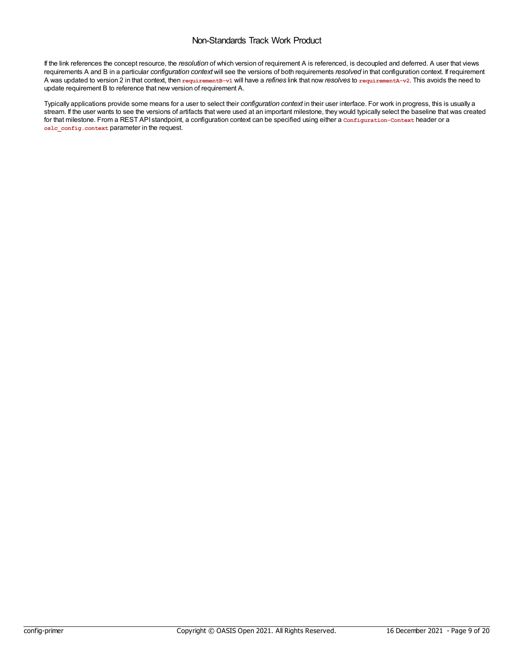### Non-Standards Track Work Product

If the link references the concept resource, the *resolution* of which version of requirement A is referenced, is decoupled and deferred. A user that views requirements A and B in a particular *configuration context* will see the versions of both requirements *resolved* in that configuration context. If requirement A was updated to version 2 in that context, then **requirementB-v1** will have a *refines* link that now *resolves* to **requirementA-v2**. This avoids the need to update requirement B to reference that new version of requirement A.

Typically applications provide some means for a user to select their *configuration context* in their user interface. For work in progress, this is usually a stream. If the user wants to see the versions of artifacts that were used at an important milestone, they would typically select the baseline that was created for that milestone. From a REST API standpoint, a configuration context can be specified using either a **Configuration-Context** header or a **oslc\_config.context** parameter in the request.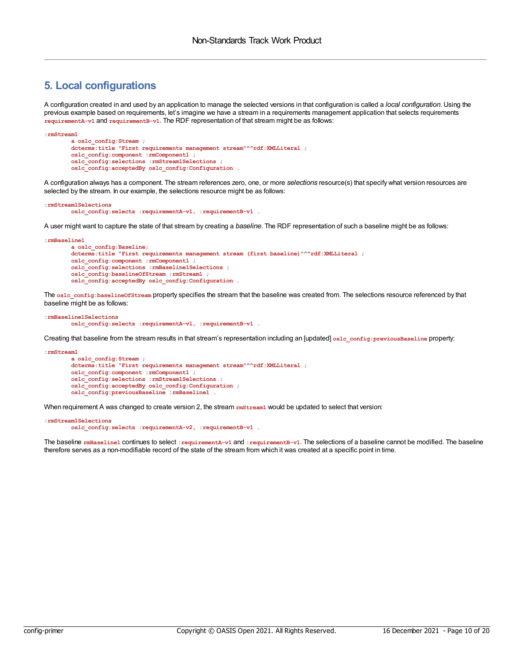### <span id="page-9-0"></span>**5. Local configurations**

A configuration created in and used by an application to manage the selected versions in that configuration is called a *local configuration*. Using the previous example based on requirements, let's imagine we have a stream in a requirements management application that selects requirements **requirementA-v1** and **requirementB-v1**. The RDF representation of that stream might be as follows:

```
:rmStream1
       a oslc_config:Stream ;
       dcterms:title "First requirements management stream"^^rdf:XMLLiteral ;
       oslc_config:component :rmComponent1 ;
       oslc_config:selections :rmStream1Selections ;
       oslc_config:acceptedBy oslc_config:Configuration .
```
A configuration always has a component. The stream references zero, one, or more *selections* resource(s) that specify what version resources are selected by the stream. In our example, the selections resource might be as follows:

```
:rmStream1Selections
       oslc_config:selects :requirementA-v1, :requirementB-v1 .
```
A user might want to capture the state of that stream by creating a *baseline*. The RDF representation of such a baseline might be as follows:

```
:rmBaseline1
       a oslc_config:Baseline;
       dcterms:title "First requirements management stream (first baseline)"^^rdf:XMLLiteral ;
       oslc_config:component :rmComponent1 ;
       oslc_config:selections :rmBaseline1Selections ;
       oslc_config:baselineOfStream :rmStream1 ;
       oslc_config:acceptedBy oslc_config:Configuration .
```
The oslc\_config:baselineOfStream property specifies the stream that the baseline was created from. The selections resource referenced by that baseline might be as follows:

```
:rmBaseline1Selections
       oslc_config:selects :requirementA-v1, :requirementB-v1 .
```
Creating that baseline from the stream results in that stream's representation including an [updated] **oslc\_config:previousBaseline** property:

```
:rmStream1
       a oslc_config:Stream ;
       dcterms:title "First requirements management stream"^^rdf:XMLLiteral ;
       oslc_config:component :rmComponent1 ;
       oslc_config:selections :rmStream1Selections ;
       oslc_config:acceptedBy oslc_config:Configuration ;
       oslc_config:previousBaseline :rmBaseline1 .
```
When requirement A was changed to create version 2, the stream *rmStream1* would be updated to select that version:

#### **:rmStream1Selections oslc\_config:selects :requirementA-v2, :requirementB-v1 .**

The baseline **rmBaseline1** continues to select **:requirementA-v1** and **:requirementB-v1**. The selections of a baseline cannot be modified. The baseline therefore serves as a non-modifiable record of the state of the stream from which it was created at a specific point in time.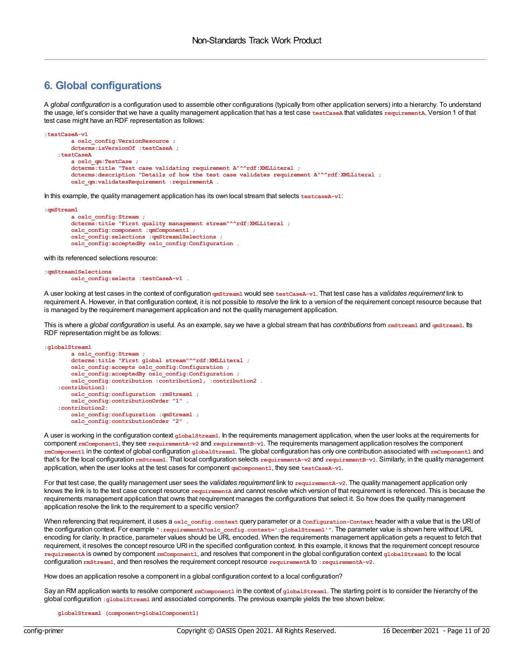### <span id="page-10-0"></span>**6. Global configurations**

A *global configuration* is a configuration used to assemble other configurations (typically from other application servers) into a hierarchy. To understand the usage, let's consider that we have a quality management application that has a test case **testCaseA** that validates **requirementA**. Version 1 of that test case might have an RDF representation as follows:

```
:testCaseA-v1
       a oslc_config:VersionResource ;
       dcterms:isVersionOf :testCaseA ;
   :testCaseA
       a oslc_qm:TestCase ;
       dcterms:title "Test case validating requirement A"^^rdf:XMLLiteral ;
       dcterms:description "Details of how the test case validates requirement A"^^rdf:XMLLiteral ;
       oslc_qm:validatesRequirement :requirementA .
```
In this example, the quality management application has its own local stream that selects **testcaseA-v1**:

```
:qmStream1
       a oslc_config:Stream ;
       dcterms:title "First quality management stream"^^rdf:XMLLiteral ;
       oslc_config:component :qmComponent1 ;
       oslc_config:selections :qmStream1Selections ;
       oslc_config:acceptedBy oslc_config:Configuration .
```
with its referenced selections resource:

```
:qmStream1Selections
       oslc_config:selects :testCaseA-v1 .
```
A user looking at test cases in the context of configuration **qmStream1** would see **testCaseA-v1**. That test case has a *validates requirement* link to requirement A. However, in that configuration context, it is not possible to *resolve* the link to a version of the requirement concept resource because that is managed by the requirement management application and not the quality management application.

This is where a *global configuration* is useful. As an example, say we have a global stream that has *contributions* from **rmStream1** and **qmStream1**. Its RDF representation might be as follows:

```
:globalStream1
       a oslc_config:Stream ;
       dcterms:title "First global stream"^^rdf:XMLLiteral ;
       oslc_config:accepts oslc_config:Configuration ;
       oslc_config:acceptedBy oslc_config:Configuration ;
       oslc_config:contribution :contribution1, :contribution2 .
    :contribution1:
       oslc_config:configuration :rmStream1 ;
       oslc_config:contributionOrder "1" .
    :contribution2:
       oslc_config:configuration :qmStream1 ;
       oslc_config:contributionOrder "2" .
```
A user is working in the configuration context **globalStream1**. In the requirements management application, when the user looks at the requirements for component **rmComponent1**, they see **requirementA-v2** and **requirementB-v1**. The requirements management application resolves the component **rmComponent1** in the context of global configuration **globalStream1**. The global configuration has only one contribution associated with **rmComponent1** and that's for the local configuration **rmStream1**. That local configuration selects **requirementA-v2** and **requirementB-v1**. Similarly, in the quality management application, when the user looks at the test cases for component **qmComponent1**, they see **testCaseA-v1**.

For that test case, the quality management user sees the *validates requirement* link to requirementA-v2. The quality management application only knows the link is to the test case concept resource requirementa and cannot resolve which version of that requirement is referenced. This is because the requirements management application that owns that requirement manages the configurations that select it. So how does the quality management application resolve the link to the requirement to a specific version?

When referencing that requirement, it uses a **oslc\_config.context** query parameter or a **Configuration-Context** header with a value that is the URI of the configuration context. For example **":requirementA?oslc\_config.context=':globalStream1'"**. The parameter value is shown here without URL encoding for clarity. In practice, parameter values should be URL encoded. When the requirements management application gets a request to fetch that requirement, it resolves the concept resource URI in the specified configuration context. In this example, it knows that the requirement concept resource **requirementA** is owned by component **rmComponent1**, and resolves that component in the global configuration context **globalStream1** to the local configuration **rmStream1**, and then resolves the requirement concept resource **requirementA** to **:requirementA-v2**.

How does an application resolve a component in a global configuration context to a local configuration?

Say an RM application wants to resolve component **rmComponent1** in the context of **globalStream1**. The starting point is to consider the hierarchy of the global configuration **:globalStream1** and associated components. The previous example yields the tree shown below:

**globalStream1 (component=globalComponent1)**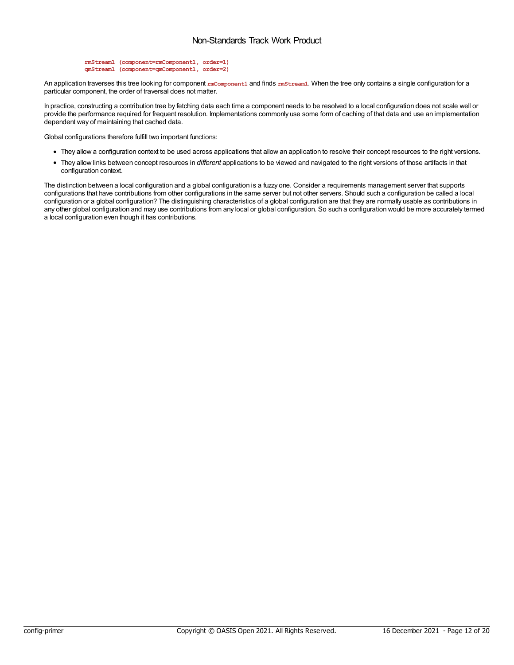```
rmStream1 (component=rmComponent1, order=1)
qmStream1 (component=qmComponent1, order=2)
```
An application traverses this tree looking for component **rmComponent1** and finds **rmStream1**. When the tree only contains a single configuration for a particular component, the order of traversal does not matter.

In practice, constructing a contribution tree by fetching data each time a component needs to be resolved to a local configuration does not scale well or provide the performance required for frequent resolution. Implementations commonly use some form of caching of that data and use an implementation dependent way of maintaining that cached data.

Global configurations therefore fulfill two important functions:

- They allow a configuration context to be used across applications that allow an application to resolve their concept resources to the right versions.
- They allow links between concept resources in *different* applications to be viewed and navigated to the right versions of those artifacts in that configuration context.

The distinction between a local configuration and a global configuration is a fuzzy one. Consider a requirements management server that supports configurations that have contributions from other configurations in the same server but not other servers. Should such a configuration be called a local configuration or a global configuration? The distinguishing characteristics of a global configuration are that they are normally usable as contributions in any other global configuration and may use contributions from any local or global configuration. So such a configuration would be more accurately termed a local configuration even though it has contributions.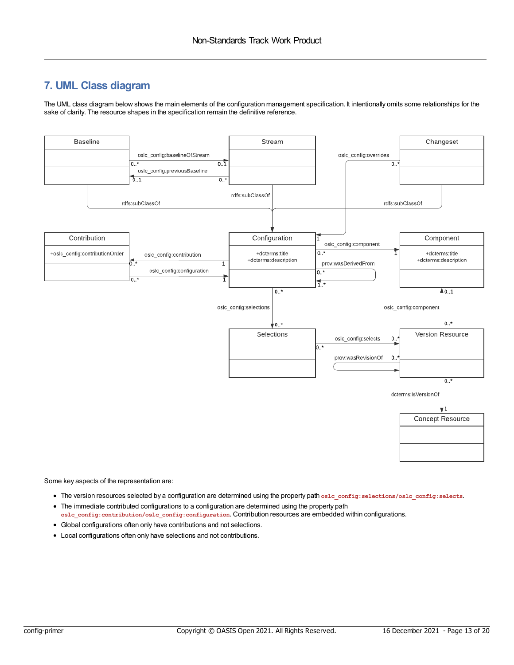### <span id="page-12-0"></span>**7. UML Class diagram**

The UML class diagram below shows the main elements of the configuration management specification. It intentionally omits some relationships for the sake of clarity. The resource shapes in the specification remain the definitive reference.



Some key aspects of the representation are:

- The version resources selected by a configuration are determined using the property path **oslc\_config:selections/oslc\_config:selects**.
- The immediate contributed configurations to a configuration are determined using the property path **oslc\_config:contribution/oslc\_config:configuration**. Contribution resources are embedded within configurations.
- Global configurations often only have contributions and not selections.
- Local configurations often only have selections and not contributions.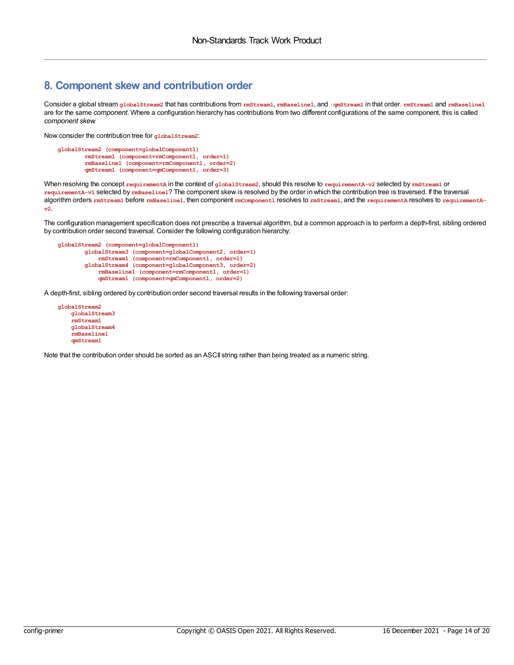### <span id="page-13-0"></span>**8. Component skew and contribution order**

Consider a global stream **globalStream2** that has contributions from **rmStream1**, **rmBaseline1**, and **:qmStream1** in that order. **rmStream1** and **rmBaseline1** are for the same *component*. Where a configuration hierarchy has contributions from two *different* configurations of the same component, this is called *component skew*.

Now consider the contribution tree for **globalStream2**:

```
globalStream2 (component=globalComponent1)
        rmStream1 (component=rmComponent1, order=1)
        rmBaseline1 (component=rmComponent1, order=2)
        qmStream1 (component=qmComponent1, order=3)
```
When resolving the concept **requirementA** in the context of **globalStream2**, should this resolve to **requirementA-v2** selected by **rmStream1** or **requirementA-v1** selected by **rmBaseline1**? The component skew is resolved by the order in which the contribution tree is traversed. If the traversal algorithm orders **rmStream1** before **rmBaseline1**, then component **rmComponent1** resolves to **rmStream1**, and the **requirementA** resolves to **requirementAv2**.

The configuration management specification does not prescribe a traversal algorithm, but a common approach is to perform a depth-first, sibling ordered by contribution order second traversal. Consider the following configuration hierarchy:

```
globalStream2 (component=globalComponent1)
        globalStream3 (component=globalComponent2, order=1)
            rmStream1 (component=rmComponent1, order=1)
        globalStream4 (component=globalComponent3, order=2)
            rmBaseline1 (component=rmComponent1, order=1)
            qmStream1 (component=qmComponent1, order=2)
```
A depth-first, sibling ordered by contribution order second traversal results in the following traversal order:

**globalStream2 globalStream3 rmStream1 globalStream4 rmBaseline1 qmStream1**

Note that the contribution order should be sorted as an ASCII string rather than being treated as a numeric string.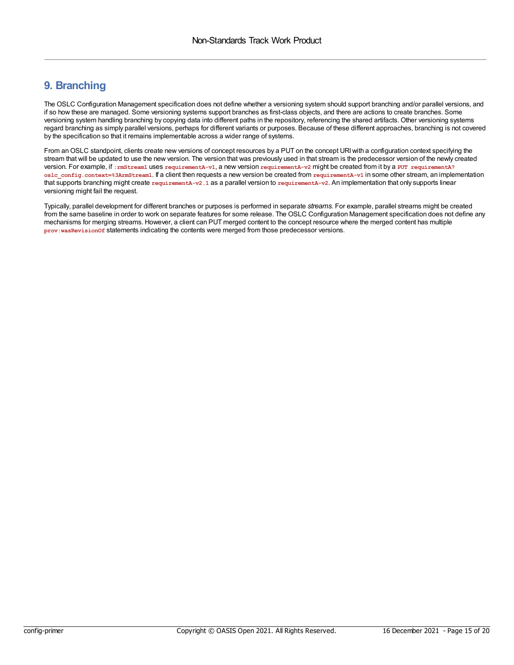### <span id="page-14-0"></span>**9. Branching**

The OSLC Configuration Management specification does not define whether a versioning system should support branching and/or parallel versions, and if so how these are managed. Some versioning systems support branches as first-class objects, and there are actions to create branches. Some versioning system handling branching by copying data into different paths in the repository, referencing the shared artifacts. Other versioning systems regard branching as simply parallel versions, perhaps for different variants or purposes. Because of these different approaches, branching is not covered by the specification so that it remains implementable across a wider range of systems.

From an OSLC standpoint, clients create new versions of concept resources by a PUT on the concept URI with a configuration context specifying the stream that will be updated to use the new version. The version that was previously used in that stream is the predecessor version of the newly created version. For example, if **:rmStream1** uses **requirementA-v1**, a new version **requirementA-v2** might be created from it by a **PUT requirementA? oslc\_config.context=%3ArmStream1**. If a client then requests a new version be created from **requirementA-v1** in some other stream, an implementation that supports branching might create **requirementA-v2.1** as a parallel version to **requirementA-v2**. An implementation that only supports linear versioning might fail the request.

Typically, parallel development for different branches or purposes is performed in separate *streams*. For example, parallel streams might be created from the same baseline in order to work on separate features for some release. The OSLC Configuration Management specification does not define any mechanisms for merging streams. However, a client can PUT merged content to the concept resource where the merged content has multiple **prov:wasRevisionOf** statements indicating the contents were merged from those predecessor versions.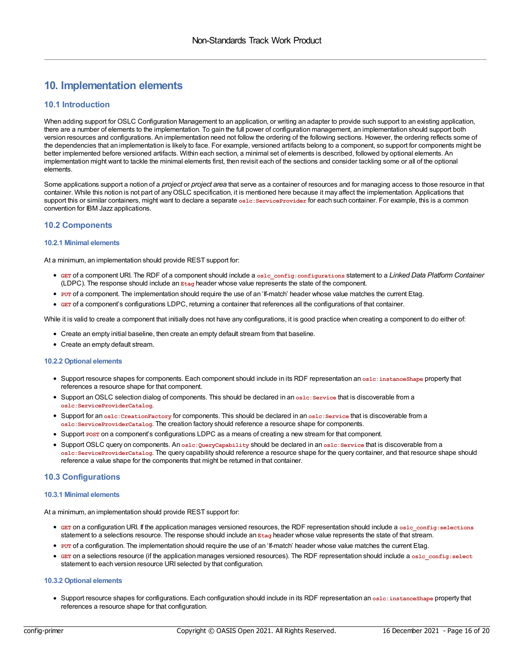### <span id="page-15-0"></span>**10. Implementation elements**

#### <span id="page-15-1"></span>**10.1 Introduction**

When adding support for OSLC Configuration Management to an application, or writing an adapter to provide such support to an existing application, there are a number of elements to the implementation. To gain the full power of configuration management, an implementation should support both version resources and configurations. An implementation need not follow the ordering of the following sections. However, the ordering reflects some of the dependencies that an implementation is likely to face. For example, versioned artifacts belong to a component, so support for components might be better implemented before versioned artifacts. Within each section, a minimal set of elements is described, followed by optional elements. An implementation might want to tackle the minimal elements first, then revisit each of the sections and consider tackling some or all of the optional elements.

Some applications support a notion of a *project* or *project area* that serve as a container of resources and for managing access to those resource in that container. While this notion is not part of anyOSLC specification, it is mentioned here because it may affect the implementation. Applications that support this or similar containers, might want to declare a separate **oslc:ServiceProvider** for each such container. For example, this is a common convention for IBM Jazz applications.

#### <span id="page-15-2"></span>**10.2 Components**

#### <span id="page-15-3"></span>**10.2.1 Minimal elements**

At a minimum, an implementation should provide REST support for:

- **GET** of a component URI. The RDF of a component should include a **oslc\_config:configurations** statement to a *Linked Data Platform Container* (LDPC). The response should include an **Etag** header whose value represents the state of the component.
- **PUT** of a component. The implementation should require the use of an 'If-match' header whose value matches the current Etag.
- **GET** of a component's configurations LDPC, returning a container that references all the configurations of that container.

While it is valid to create a component that initially does not have any configurations, it is good practice when creating a component to do either of:

- Create an empty initial baseline, then create an empty default stream from that baseline.
- Create an empty default stream.

#### <span id="page-15-4"></span>**10.2.2 Optional elements**

- Support resource shapes for components. Each component should include in its RDF representation an **oslc:instanceShape** property that references a resource shape for that component.
- Support anOSLC selection dialog of components. This should be declared in an **oslc:Service** that is discoverable from a **oslc:ServiceProviderCatalog**.
- Support for an **oslc:CreationFactory** for components. This should be declared in an **oslc:Service** that is discoverable from a **oslc:ServiceProviderCatalog**. The creation factory should reference a resource shape for components.
- Support **POST** on a component's configurations LDPC as a means of creating a new stream for that component.
- Support OSLC query on components. An **oslc:QueryCapability** should be declared in an **oslc:Service** that is discoverable from a **oslc:ServiceProviderCatalog**. The query capability should reference a resource shape for the query container, and that resource shape should reference a value shape for the components that might be returned in that container.

#### <span id="page-15-5"></span>**10.3 Configurations**

#### <span id="page-15-6"></span>**10.3.1 Minimal elements**

At a minimum, an implementation should provide REST support for:

- **GET** on a configuration URI. If the application manages versioned resources, the RDF representation should include a **oslc\_config:selections** statement to a selections resource. The response should include an **Etag** header whose value represents the state of that stream.
- **PUT** of a configuration. The implementation should require the use of an 'If-match' header whose value matches the current Etag.
- **GET** on a selections resource (if the application manages versioned resources). The RDF representation should include a oslc config: select statement to each version resource URI selected by that configuration.

#### **10.3.2 Optional elements**

Support resource shapes for configurations. Each configuration should include in its RDF representation an **oslc:instanceShape** property that references a resource shape for that configuration.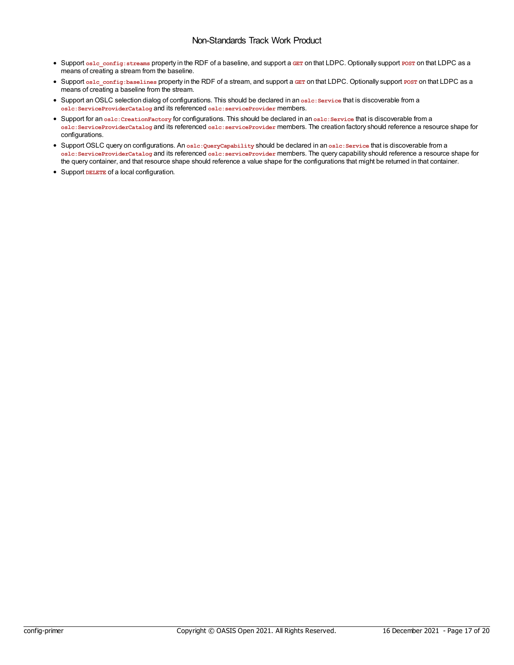### Non-Standards Track Work Product

- <span id="page-16-0"></span>Support **oslc\_config:streams** property in the RDF of a baseline, and support a **GET** on that LDPC. Optionally support **POST** on that LDPC as a means of creating a stream from the baseline.
- Support **oslc\_config:baselines** property in the RDF of a stream, and support a **GET** on that LDPC. Optionally support **POST** on that LDPC as a means of creating a baseline from the stream.
- Support anOSLC selection dialog of configurations. This should be declared in an **oslc:Service** that is discoverable from a **oslc:ServiceProviderCatalog** and its referenced **oslc:serviceProvider** members.
- Support for an **oslc:CreationFactory** for configurations. This should be declared in an **oslc:Service** that is discoverable from a **oslc:ServiceProviderCatalog** and its referenced **oslc:serviceProvider** members. The creation factory should reference a resource shape for configurations.
- Support OSLC query on configurations. An **oslc:QueryCapability** should be declared in an **oslc:Service** that is discoverable from a **oslc:ServiceProviderCatalog** and its referenced **oslc:serviceProvider** members. The query capability should reference a resource shape for the query container, and that resource shape should reference a value shape for the configurations that might be returned in that container.
- Support **DELETE** of a local configuration.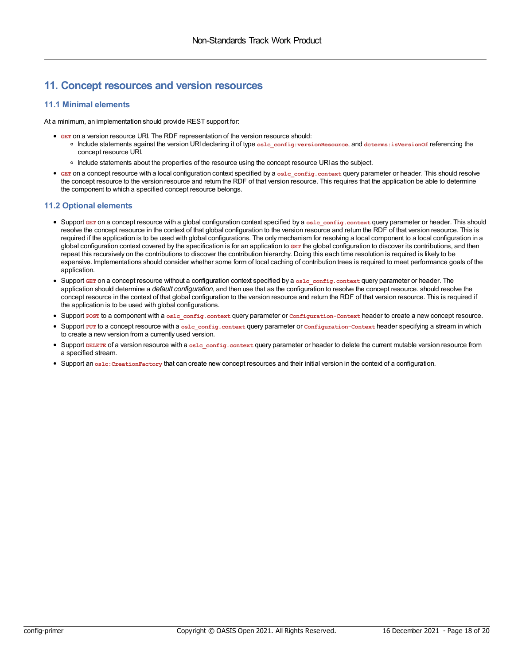### <span id="page-17-0"></span>**11. Concept resources and version resources**

### <span id="page-17-1"></span>**11.1 Minimal elements**

At a minimum, an implementation should provide REST support for:

- **GET** on a version resource URI. The RDF representation of the version resource should:
	- Include statements against the version URI declaring it of type **oslc\_config:versionResource**, and **dcterms:isVersionOf** referencing the concept resource URI.
	- o Include statements about the properties of the resource using the concept resource URI as the subject.
- **GET** on a concept resource with a local configuration context specified by a **oslc\_config.context** query parameter or header. This should resolve the concept resource to the version resource and return the RDF of that version resource. This requires that the application be able to determine the component to which a specified concept resource belongs.

### <span id="page-17-2"></span>**11.2 Optional elements**

- Support **GET** on a concept resource with a global configuration context specified by a **oslc\_config.context** query parameter or header. This should resolve the concept resource in the context of that global configuration to the version resource and return the RDF of that version resource. This is required if the application is to be used with global configurations. The only mechanism for resolving a local component to a local configuration in a global configuration context covered by the specification is for an application to GET the global configuration to discover its contributions, and then repeat this recursively on the contributions to discover the contribution hierarchy. Doing this each time resolution is required is likely to be expensive. Implementations should consider whether some form of local caching of contribution trees is required to meet performance goals of the application.
- Support **GET** on a concept resource without a configuration context specified by a **oslc\_config.context** query parameter or header. The application should determine a *default configuration*, and then use that as the configuration to resolve the concept resource. should resolve the concept resource in the context of that global configuration to the version resource and return the RDF of that version resource. This is required if the application is to be used with global configurations.
- Support **POST** to a component with a **oslc\_config.context** query parameter or **Configuration-Context** header to create a new concept resource.
- Support **PUT** to a concept resource with a **oslc\_config.context** query parameter or **Configuration-Context** header specifying a stream in which to create a new version from a currently used version.
- Support **DELETE** of a version resource with a **oslc\_config.context** query parameter or header to delete the current mutable version resource from a specified stream.
- Support an **oslc:CreationFactory** that can create new concept resources and their initial version in the context of a configuration.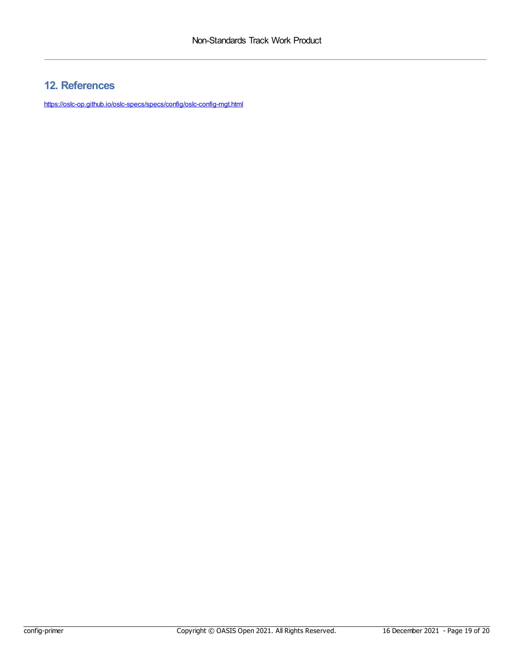### <span id="page-18-0"></span>**12. References**

<https://oslc-op.github.io/oslc-specs/specs/config/oslc-config-mgt.html>